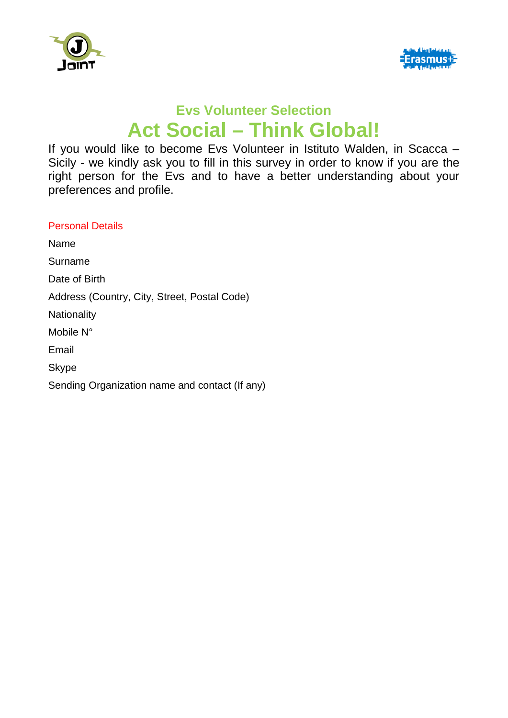



## **Evs Volunteer Selection Act Social – Think Global!**

If you would like to become Evs Volunteer in Istituto Walden, in Scacca – Sicily - we kindly ask you to fill in this survey in order to know if you are the right person for the Evs and to have a better understanding about your preferences and profile.

## Personal Details

Name

Surname

Date of Birth

Address (Country, City, Street, Postal Code)

**Nationality** 

Mobile N°

Email

Skype

Sending Organization name and contact (If any)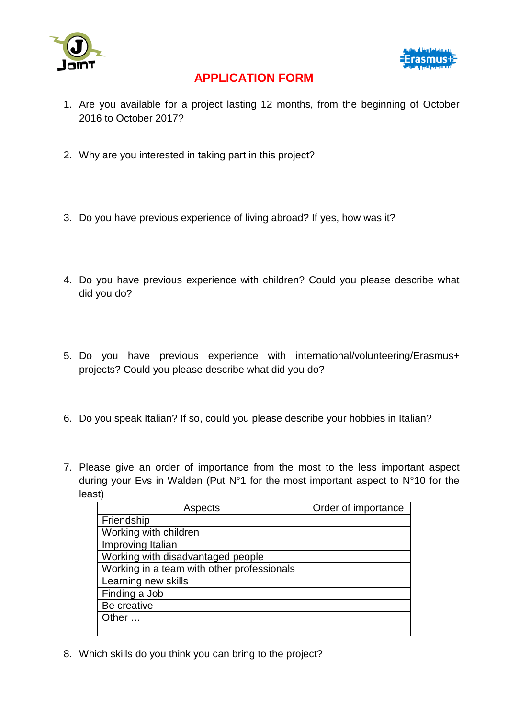



## **APPLICATION FORM**

- 1. Are you available for a project lasting 12 months, from the beginning of October 2016 to October 2017?
- 2. Why are you interested in taking part in this project?
- 3. Do you have previous experience of living abroad? If yes, how was it?
- 4. Do you have previous experience with children? Could you please describe what did you do?
- 5. Do you have previous experience with international/volunteering/Erasmus+ projects? Could you please describe what did you do?
- 6. Do you speak Italian? If so, could you please describe your hobbies in Italian?
- 7. Please give an order of importance from the most to the less important aspect during your Evs in Walden (Put N°1 for the most important aspect to N°10 for the least)

| Aspects                                    | Order of importance |
|--------------------------------------------|---------------------|
| Friendship                                 |                     |
| Working with children                      |                     |
| Improving Italian                          |                     |
| Working with disadvantaged people          |                     |
| Working in a team with other professionals |                     |
| Learning new skills                        |                     |
| Finding a Job                              |                     |
| Be creative                                |                     |
| Other                                      |                     |
|                                            |                     |

8. Which skills do you think you can bring to the project?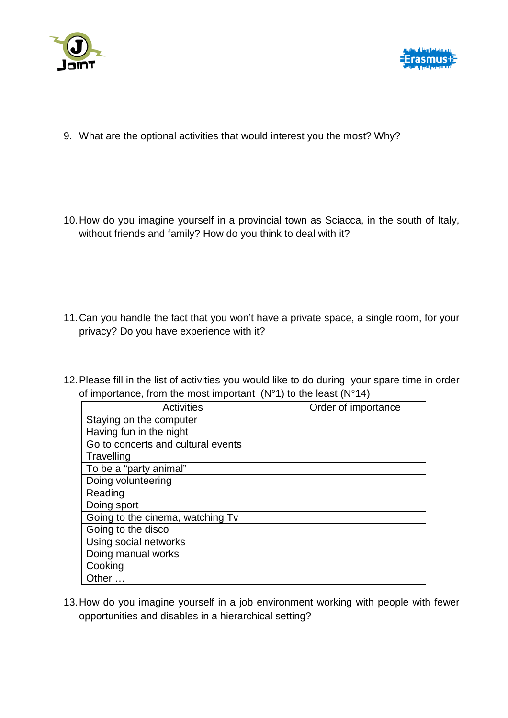



- 9. What are the optional activities that would interest you the most? Why?
- 10.How do you imagine yourself in a provincial town as Sciacca, in the south of Italy, without friends and family? How do you think to deal with it?

- 11.Can you handle the fact that you won't have a private space, a single room, for your privacy? Do you have experience with it?
- 12.Please fill in the list of activities you would like to do during your spare time in order of importance, from the most important  $(N°1)$  to the least  $(N°14)$

| Activities                         | Order of importance |
|------------------------------------|---------------------|
| Staying on the computer            |                     |
| Having fun in the night            |                     |
| Go to concerts and cultural events |                     |
| Travelling                         |                     |
| To be a "party animal"             |                     |
| Doing volunteering                 |                     |
| Reading                            |                     |
| Doing sport                        |                     |
| Going to the cinema, watching Tv   |                     |
| Going to the disco                 |                     |
| Using social networks              |                     |
| Doing manual works                 |                     |
| Cooking                            |                     |
| Other                              |                     |

13.How do you imagine yourself in a job environment working with people with fewer opportunities and disables in a hierarchical setting?